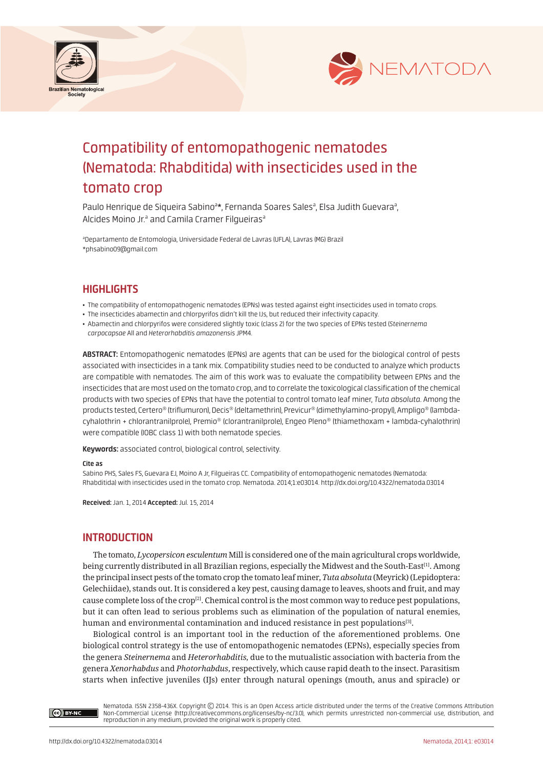



# Compatibility of entomopathogenic nematodes (Nematoda: Rhabditida) with insecticides used in the tomato crop

Paulo Henrique de Siqueira Sabino<sup>a\*</sup>, Fernanda Soares Sales<sup>a</sup>, Elsa Judith Guevara<sup>a</sup>, Alcides Moino Jr.ª and Camila Cramer Filgueiras<sup>a</sup>

a Departamento de Entomologia, Universidade Federal de Lavras (UFLA), Lavras (MG) Brazil \*phsabino09@gmail.com

## **HIGHLIGHTS**

- The compatibility of entomopathogenic nematodes (EPNs) was tested against eight insecticides used in tomato crops.
- The insecticides abamectin and chlorpyrifos didn't kill the IJs, but reduced their infectivity capacity.
- Abamectin and chlorpyrifos were considered slightly toxic (class 2) for the two species of EPNs tested (*Steinernema carpocapsae* All and *Heterorhabditis amazonensis* JPM4.

**ABSTRACT:** Entomopathogenic nematodes (EPNs) are agents that can be used for the biological control of pests associated with insecticides in a tank mix. Compatibility studies need to be conducted to analyze which products are compatible with nematodes. The aim of this work was to evaluate the compatibility between EPNs and the insecticides that are most used on the tomato crop, and to correlate the toxicological classification of the chemical products with two species of EPNs that have the potential to control tomato leaf miner, *Tuta absoluta*. Among the products tested, Certero® (triflumuron), Decis® (deltamethrin), Previcur® (dimethylamino-propyl), Ampligo® (lambdacyhalothrin + chlorantranilprole), Premio® (clorantranilprole), Engeo Pleno® (thiamethoxam + lambda-cyhalothrin) were compatible (IOBC class 1) with both nematode species.

**Keywords:** associated control, biological control, selectivity.

#### **Cite as**

Sabino PHS, Sales FS, Guevara EJ, Moino A Jr, Filgueiras CC. Compatibility of entomopathogenic nematodes (Nematoda: Rhabditida) with insecticides used in the tomato crop. Nematoda. 2014;1:e03014. http://dx.doi.org/10.4322/nematoda.03014

**Received:** Jan. 1, 2014 **Accepted:** Jul. 15, 2014

## **INTRODUCTION**

The tomato, *Lycopersicon esculentum* Mill is considered one of the main agricultural crops worldwide, being currently distributed in all Brazilian regions, especially the Midwest and the South-East<sup>[1]</sup>. Among the principal insect pests of the tomato crop the tomato leaf miner, *Tuta absoluta* (Meyrick) (Lepidoptera: Gelechiidae), stands out. It is considered a key pest, causing damage to leaves, shoots and fruit, and may cause complete loss of the crop<sup>[2]</sup>. Chemical control is the most common way to reduce pest populations, but it can often lead to serious problems such as elimination of the population of natural enemies, human and environmental contamination and induced resistance in pest populations<sup>[3]</sup>.

Biological control is an important tool in the reduction of the aforementioned problems. One biological control strategy is the use of entomopathogenic nematodes (EPNs), especially species from the genera *Steinernema* and *Heterorhabditis,* due to the mutualistic association with bacteria from the genera *Xenorhabdus* and *Photorhabdus*, respectively, which cause rapid death to the insect. Parasitism starts when infective juveniles (IJs) enter through natural openings (mouth, anus and spiracle) or

Ce BY-NC

Nematoda. ISSN 2358-436X. Copyright © 2014. This is an Open Access article distributed under the terms of the Creative Commons Attribution Non-Commercial License (http://creativecommons.org/licenses/by-nc/3.0), which permits unrestricted non-commercial use, distribution, and<br>reproduction in any medium, provided the original work is properly cited.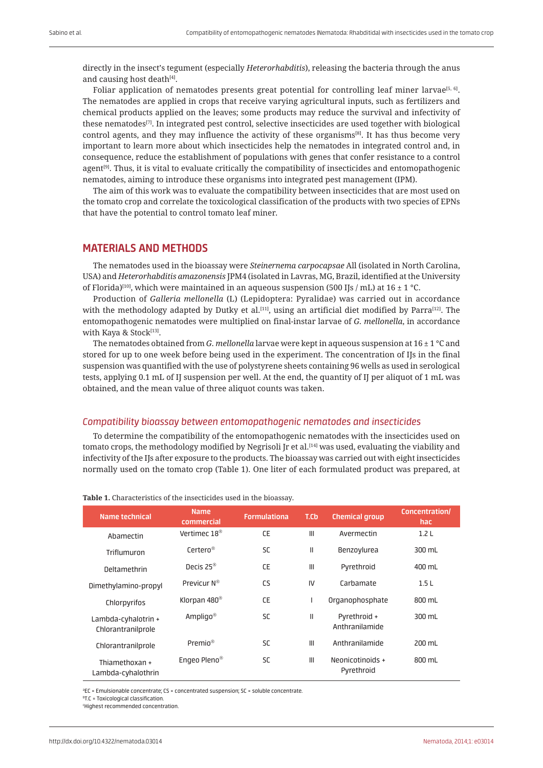directly in the insect's tegument (especially *Heterorhabditis*), releasing the bacteria through the anus and causing host death<sup>[4]</sup>.

Foliar application of nematodes presents great potential for controlling leaf miner larvae<sup>[5, 6]</sup>. The nematodes are applied in crops that receive varying agricultural inputs, such as fertilizers and chemical products applied on the leaves; some products may reduce the survival and infectivity of these nematodes[7]. In integrated pest control, selective insecticides are used together with biological control agents, and they may influence the activity of these organisms<sup>[8]</sup>. It has thus become very important to learn more about which insecticides help the nematodes in integrated control and, in consequence, reduce the establishment of populations with genes that confer resistance to a control agent $[9]$ . Thus, it is vital to evaluate critically the compatibility of insecticides and entomopathogenic nematodes, aiming to introduce these organisms into integrated pest management (IPM).

The aim of this work was to evaluate the compatibility between insecticides that are most used on the tomato crop and correlate the toxicological classification of the products with two species of EPNs that have the potential to control tomato leaf miner.

## **MATERIALS AND METHODS**

The nematodes used in the bioassay were *Steinernema carpocapsae* All (isolated in North Carolina, USA) and *Heterorhabditis amazonensis* JPM4 (isolated in Lavras, MG, Brazil, identified at the University of Florida)<sup>[10]</sup>, which were maintained in an aqueous suspension (500 IJs / mL) at 16  $\pm$  1 °C.

Production of *Galleria mellonella* (L) (Lepidoptera: Pyralidae) was carried out in accordance with the methodology adapted by Dutky et al.<sup>[11]</sup>, using an artificial diet modified by Parra<sup>[12]</sup>. The entomopathogenic nematodes were multiplied on final-instar larvae of *G. mellonella*, in accordance with Kaya & Stock<sup>[13]</sup>.

The nematodes obtained from *G. mellonella* larvae were kept in aqueous suspension at 16 ± 1 °C and stored for up to one week before being used in the experiment. The concentration of IJs in the final suspension was quantified with the use of polystyrene sheets containing 96 wells as used in serological tests, applying 0.1 mL of IJ suspension per well. At the end, the quantity of IJ per aliquot of 1 mL was obtained, and the mean value of three aliquot counts was taken.

### *Compatibility bioassay between entomopathogenic nematodes and insecticides*

To determine the compatibility of the entomopathogenic nematodes with the insecticides used on tomato crops, the methodology modified by Negrisoli Jr et al.<sup>[14]</sup> was used, evaluating the viability and infectivity of the IJs after exposure to the products. The bioassay was carried out with eight insecticides normally used on the tomato crop (Table 1). One liter of each formulated product was prepared, at

| Name technical                            | <b>Name</b><br>commercial | <b>Formulationa</b> | T.Cb           | <b>Chemical group</b>          | Concentration/<br>hac. |
|-------------------------------------------|---------------------------|---------------------|----------------|--------------------------------|------------------------|
| Abamectin                                 | Vertimec $18^{\circledR}$ | <b>CE</b>           | $\mathbf{III}$ | Avermectin                     | 1.2 <sub>L</sub>       |
| Triflumuron                               | Certero <sup>®</sup>      | <b>SC</b>           | Ш              | Benzoylurea                    | 300 mL                 |
| Deltamethrin                              | Decis $25^{\circledR}$    | <b>CE</b>           | $\mathbf{III}$ | Pyrethroid                     | 400 mL                 |
| Dimethylamino-propyl                      | Previcur N®               | CS                  | IV.            | Carbamate                      | 1.5L                   |
| Chlorpyrifos                              | Klorpan 480 <sup>®</sup>  | <b>CE</b>           | I              | Organophosphate                | 800 mL                 |
| Lambda-cyhalotrin +<br>Chlorantranilprole | Ampligo <sup>®</sup>      | <b>SC</b>           | $\mathbf{I}$   | Pyrethroid +<br>Anthranilamide | 300 mL                 |
| Chlorantranilprole                        | Premio <sup>®</sup>       | <b>SC</b>           | III            | Anthranilamide                 | 200 mL                 |
| Thiamethoxan +<br>Lambda-cyhalothrin      | Engeo Pleno <sup>®</sup>  | <b>SC</b>           | $\mathbf{III}$ | Neonicotinoids +<br>Pyrethroid | 800 mL                 |

#### **Table 1.** Characteristics of the insecticides used in the bioassay.

aEC = Emulsionable concentrate; CS = concentrated suspension; SC = soluble concentrate.

<sup>b</sup>T.C = Toxicological classification.

c Highest recommended concentration.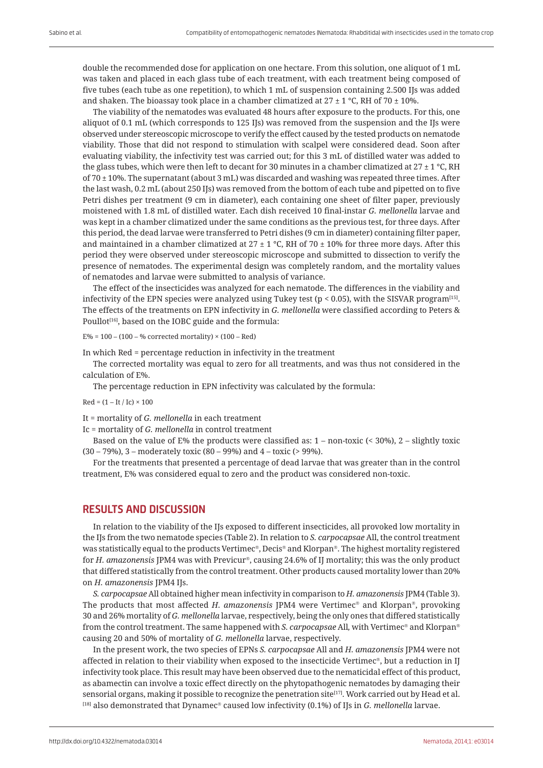double the recommended dose for application on one hectare. From this solution, one aliquot of 1 mL was taken and placed in each glass tube of each treatment, with each treatment being composed of five tubes (each tube as one repetition), to which 1 mL of suspension containing 2.500 IJs was added and shaken. The bioassay took place in a chamber climatized at  $27 \pm 1$  °C, RH of 70  $\pm$  10%.

The viability of the nematodes was evaluated 48 hours after exposure to the products. For this, one aliquot of 0.1 mL (which corresponds to 125 IJs) was removed from the suspension and the IJs were observed under stereoscopic microscope to verify the effect caused by the tested products on nematode viability. Those that did not respond to stimulation with scalpel were considered dead. Soon after evaluating viability, the infectivity test was carried out; for this 3 mL of distilled water was added to the glass tubes, which were then left to decant for 30 minutes in a chamber climatized at  $27 \pm 1$  °C, RH of 70  $\pm$  10%. The supernatant (about 3 mL) was discarded and washing was repeated three times. After the last wash, 0.2 mL (about 250 IJs) was removed from the bottom of each tube and pipetted on to five Petri dishes per treatment (9 cm in diameter), each containing one sheet of filter paper, previously moistened with 1.8 mL of distilled water. Each dish received 10 final-instar *G. mellonella* larvae and was kept in a chamber climatized under the same conditions as the previous test, for three days. After this period, the dead larvae were transferred to Petri dishes (9 cm in diameter) containing filter paper, and maintained in a chamber climatized at 27  $\pm$  1 °C, RH of 70  $\pm$  10% for three more days. After this period they were observed under stereoscopic microscope and submitted to dissection to verify the presence of nematodes. The experimental design was completely random, and the mortality values of nematodes and larvae were submitted to analysis of variance.

The effect of the insecticides was analyzed for each nematode. The differences in the viability and infectivity of the EPN species were analyzed using Tukey test ( $p < 0.05$ ), with the SISVAR program<sup>[15]</sup>. The effects of the treatments on EPN infectivity in *G. mellonella* were classified according to Peters & Poullot<sup>[16]</sup>, based on the IOBC guide and the formula:

 $E% = 100 - (100 - %$  corrected mortality)  $\times (100 - Red)$ 

In which Red = percentage reduction in infectivity in the treatment

The corrected mortality was equal to zero for all treatments, and was thus not considered in the calculation of E%.

The percentage reduction in EPN infectivity was calculated by the formula:

#### $Red = (1 - It / Ic) \times 100$

It = mortality of *G. mellonella* in each treatment

Ic = mortality of *G. mellonella* in control treatment

Based on the value of E% the products were classified as:  $1 -$  non-toxic (< 30%),  $2 -$  slightly toxic (30 – 79%), 3 – moderately toxic (80 – 99%) and 4 – toxic (> 99%).

For the treatments that presented a percentage of dead larvae that was greater than in the control treatment, E% was considered equal to zero and the product was considered non-toxic.

## **RESULTS AND DISCUSSION**

In relation to the viability of the IJs exposed to different insecticides, all provoked low mortality in the IJs from the two nematode species (Table 2). In relation to *S. carpocapsae* All, the control treatment was statistically equal to the products Vertimec®, Decis® and Klorpan®. The highest mortality registered for *H. amazonensis* JPM4 was with Previcur<sup>®</sup>, causing 24.6% of IJ mortality; this was the only product that differed statistically from the control treatment. Other products caused mortality lower than 20% on *H. amazonensis* JPM4 IJs.

*S. carpocapsae* All obtained higher mean infectivity in comparison to *H. amazonensis* JPM4 (Table 3). The products that most affected *H. amazonensis* JPM4 were Vertimec<sup>®</sup> and Klorpan®, provoking 30 and 26% mortality of *G. mellonella* larvae, respectively, being the only ones that differed statistically from the control treatment. The same happened with *S. carpocapsae* All, with Vertimec<sup>®</sup> and Klorpan<sup>®</sup> causing 20 and 50% of mortality of *G. mellonella* larvae, respectively.

In the present work, the two species of EPNs *S. carpocapsae* All and *H. amazonensis* JPM4 were not affected in relation to their viability when exposed to the insecticide Vertimec®, but a reduction in IJ infectivity took place. This result may have been observed due to the nematicidal effect of this product, as abamectin can involve a toxic effect directly on the phytopathogenic nematodes by damaging their sensorial organs, making it possible to recognize the penetration site<sup>[17]</sup>. Work carried out by Head et al.  $^{[18]}$  also demonstrated that Dynamec<sup>®</sup> caused low infectivity (0.1%) of IJs in *G. mellonella* larvae.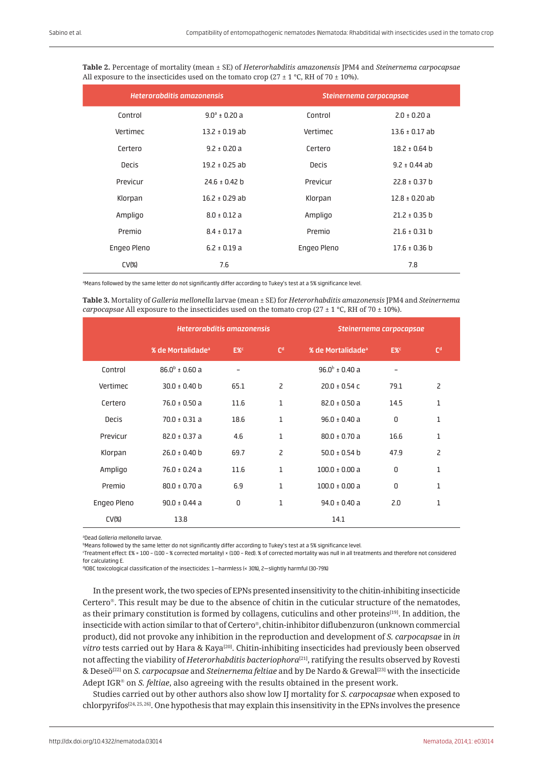| <b>Heterorabditis amazonensis</b> |                    | Steinernema carpocapsae |                    |  |  |
|-----------------------------------|--------------------|-------------------------|--------------------|--|--|
| Control                           | $9.0^a \pm 0.20 a$ | Control                 | $2.0 \pm 0.20 a$   |  |  |
| Vertimec                          | $13.2 \pm 0.19$ ab | Vertimec                | $13.6 \pm 0.17$ ab |  |  |
| Certero                           | $9.2 \pm 0.20 a$   | Certero                 | $18.2 \pm 0.64$ b  |  |  |
| Decis                             | $19.2 \pm 0.25$ ab | Decis                   | $9.2 \pm 0.44$ ab  |  |  |
| Previcur                          | $24.6 \pm 0.42$ b  | Previcur                | $22.8 \pm 0.37$ b  |  |  |
| Klorpan                           | $16.2 \pm 0.29$ ab | Klorpan                 | $12.8 \pm 0.20$ ab |  |  |
| Ampligo                           | $8.0 \pm 0.12$ a   | Ampligo                 | $21.2 \pm 0.35$ b  |  |  |
| Premio                            | $8.4 \pm 0.17$ a   | Premio                  | $21.6 \pm 0.31$ b  |  |  |
| Engeo Pleno                       | $6.2 \pm 0.19$ a   | Engeo Pleno             | $17.6 \pm 0.36$ b  |  |  |
| CV <sub>8</sub>                   | 7.6                |                         | 7.8                |  |  |

**Table 2.** Percentage of mortality (mean ± SE) of *Heterorhabditis amazonensis* JPM4 and *Steinernema carpocapsae* All exposure to the insecticides used on the tomato crop (27  $\pm$  1 °C, RH of 70  $\pm$  10%).

aMeans followed by the same letter do not significantly differ according to Tukey's test at a 5% significance level.

**Table 3.** Mortality of *Galleria mellonella* larvae (mean ± SE) for *Heterorhabditis amazonensis* JPM4 and *Steinernema carpocapsae* All exposure to the insecticides used on the tomato crop (27  $\pm$  1 °C, RH of 70  $\pm$  10%).

|                    | Heterorabditis amazonensis    |                          |                | Steinernema carpocapsae       |                 |                |  |
|--------------------|-------------------------------|--------------------------|----------------|-------------------------------|-----------------|----------------|--|
|                    | % de Mortalidade <sup>a</sup> | E% <sup>c</sup>          | C <sup>d</sup> | % de Mortalidade <sup>a</sup> | E% <sup>c</sup> | C <sup>d</sup> |  |
| Control            | $86.0^{\circ}$ ± 0.60 a       | $\overline{\phantom{0}}$ |                | 96.0 $^{\rm b}$ ± 0.40 a      |                 |                |  |
| Vertimec           | $30.0 \pm 0.40$ b             | 65.1                     | $\overline{c}$ | $20.0 \pm 0.54$ C             | 79.1            | $\overline{c}$ |  |
| Certero            | $76.0 \pm 0.50 a$             | 11.6                     | 1              | $82.0 \pm 0.50$ a             | 14.5            | 1              |  |
| <b>Decis</b>       | $70.0 \pm 0.31$ a             | 18.6                     | 1              | $96.0 \pm 0.40 a$             | 0               | 1              |  |
| Previcur           | $82.0 \pm 0.37$ a             | 4.6                      | $\mathbf{1}$   | $80.0 \pm 0.70 a$             | 16.6            | $\mathbf{1}$   |  |
| Klorpan            | $26.0 \pm 0.40$ b             | 69.7                     | $\overline{c}$ | $50.0 \pm 0.54$ b             | 47.9            | $\overline{c}$ |  |
| Ampligo            | $76.0 \pm 0.24$ a             | 11.6                     | 1              | $100.0 \pm 0.00 a$            | 0               | 1              |  |
| Premio             | $80.0 \pm 0.70$ a             | 6.9                      | $\mathbf{1}$   | $100.0 \pm 0.00 a$            | $\Omega$        | 1              |  |
| Engeo Pleno        | $90.0 \pm 0.44$ a             | 0                        | $\mathbf{1}$   | $94.0 \pm 0.40$ a             | 2.0             | 1              |  |
| CV( <sub>8</sub> ) | 13.8                          |                          |                | 14.1                          |                 |                |  |

a Dead *Galleria mellonella* larvae.

b Means followed by the same letter do not significantly differ according to Tukey's test at a 5% significance level.

c Treatment effect: E% = 100 – (100 – % corrected mortality) × (100 – Red). % of corrected mortality was null in all treatments and therefore not considered for calculating E.

d IOBC toxicological classification of the insecticides: 1—harmless (< 30%), 2—slightly harmful (30-79%)

In the present work, the two species of EPNs presented insensitivity to the chitin-inhibiting insecticide Certero<sup>®</sup>. This result may be due to the absence of chitin in the cuticular structure of the nematodes, as their primary constitution is formed by collagens, cuticulins and other proteins<sup>[19]</sup>. In addition, the insecticide with action similar to that of Certero®, chitin-inhibitor diflubenzuron (unknown commercial product), did not provoke any inhibition in the reproduction and development of *S. carpocapsae* in *in vitro* tests carried out by Hara & Kaya<sup>[20]</sup>. Chitin-inhibiting insecticides had previously been observed not affecting the viability of *Heterorhabditis bacteriophora*[21], ratifying the results observed by Rovesti & Deseö[22] on *S. carpocapsae* and *Steinernema feltiae* and by De Nardo & Grewal[23] with the insecticide Adept IGR<sup>®</sup> on *S. feltiae*, also agreeing with the results obtained in the present work.

Studies carried out by other authors also show low IJ mortality for *S. carpocapsae* when exposed to chlorpyrifos[24, 25, 26]. One hypothesis that may explain this insensitivity in the EPNs involves the presence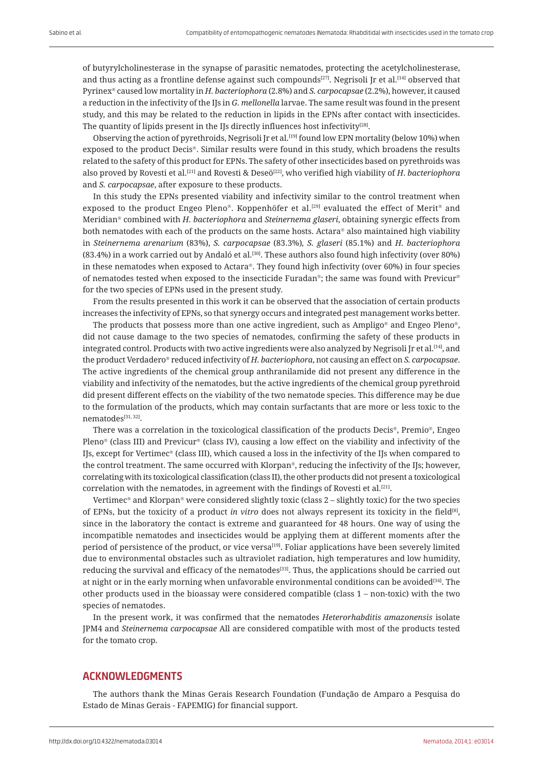of butyrylcholinesterase in the synapse of parasitic nematodes, protecting the acetylcholinesterase, and thus acting as a frontline defense against such compounds<sup>[27]</sup>. Negrisoli Jr et al.<sup>[14]</sup> observed that Pyrinex<sup>®</sup> caused low mortality in *H. bacteriophora* (2.8%) and *S. carpocapsae* (2.2%), however, it caused a reduction in the infectivity of the IJs in *G. mellonella* larvae. The same result was found in the present study, and this may be related to the reduction in lipids in the EPNs after contact with insecticides. The quantity of lipids present in the IJs directly influences host infectivity<sup>[28]</sup>.

Observing the action of pyrethroids, Negrisoli Jr et al.<sup>[19]</sup> found low EPN mortality (below 10%) when exposed to the product Decis®. Similar results were found in this study, which broadens the results related to the safety of this product for EPNs. The safety of other insecticides based on pyrethroids was also proved by Rovesti et al.[21] and Rovesti & Deseö[22], who verified high viability of *H*. *bacteriophora* and *S. carpocapsae*, after exposure to these products.

In this study the EPNs presented viability and infectivity similar to the control treatment when exposed to the product Engeo Pleno®. Koppenhöfer et al.<sup>[29]</sup> evaluated the effect of Merit® and Meridian<sup>®</sup> combined with *H. bacteriophora* and *Steinernema glaseri*, obtaining synergic effects from both nematodes with each of the products on the same hosts. Actara® also maintained high viability in *Steinernema arenarium* (83%), *S. carpocapsae* (83.3%)*, S. glaseri* (85.1%) and *H. bacteriophora* (83.4%) in a work carried out by Andaló et al.<sup>[30]</sup>. These authors also found high infectivity (over 80%) in these nematodes when exposed to Actara®. They found high infectivity (over  $60\%$ ) in four species of nematodes tested when exposed to the insecticide Furadan®; the same was found with Previcur® for the two species of EPNs used in the present study.

From the results presented in this work it can be observed that the association of certain products increases the infectivity of EPNs, so that synergy occurs and integrated pest management works better.

The products that possess more than one active ingredient, such as Ampligo<sup>®</sup> and Engeo Pleno<sup>®</sup>, did not cause damage to the two species of nematodes, confirming the safety of these products in integrated control. Products with two active ingredients were also analyzed by Negrisoli Jr et al.[14], and the product Verdadero reduced infectivity of *H. bacteriophora*, not causing an effect on *S. carpocapsae*. The active ingredients of the chemical group anthranilamide did not present any difference in the viability and infectivity of the nematodes, but the active ingredients of the chemical group pyrethroid did present different effects on the viability of the two nematode species. This difference may be due to the formulation of the products, which may contain surfactants that are more or less toxic to the nematodes[31, 32].

There was a correlation in the toxicological classification of the products Decis®, Premio®, Engeo Pleno® (class III) and Previcur® (class IV), causing a low effect on the viability and infectivity of the IJs, except for Vertimec® (class III), which caused a loss in the infectivity of the IJs when compared to the control treatment. The same occurred with Klorpan®, reducing the infectivity of the IJs; however, correlating with its toxicological classification (class II), the other products did not present a toxicological correlation with the nematodes, in agreement with the findings of Rovesti et al.[21].

Vertimec<sup>®</sup> and Klorpan<sup>®</sup> were considered slightly toxic (class  $2$  – slightly toxic) for the two species of EPNs, but the toxicity of a product *in vitro* does not always represent its toxicity in the field<sup>[8]</sup>, since in the laboratory the contact is extreme and guaranteed for 48 hours. One way of using the incompatible nematodes and insecticides would be applying them at different moments after the period of persistence of the product, or vice versa<sup>[19]</sup>. Foliar applications have been severely limited due to environmental obstacles such as ultraviolet radiation, high temperatures and low humidity, reducing the survival and efficacy of the nematodes[33]. Thus, the applications should be carried out at night or in the early morning when unfavorable environmental conditions can be avoided<sup>[34]</sup>. The other products used in the bioassay were considered compatible (class 1 – non-toxic) with the two species of nematodes.

In the present work, it was confirmed that the nematodes *Heterorhabditis amazonensis* isolate JPM4 and *Steinernema carpocapsae* All are considered compatible with most of the products tested for the tomato crop.

## **ACKNOWLEDGMENTS**

The authors thank the Minas Gerais Research Foundation (Fundação de Amparo a Pesquisa do Estado de Minas Gerais - FAPEMIG) for financial support.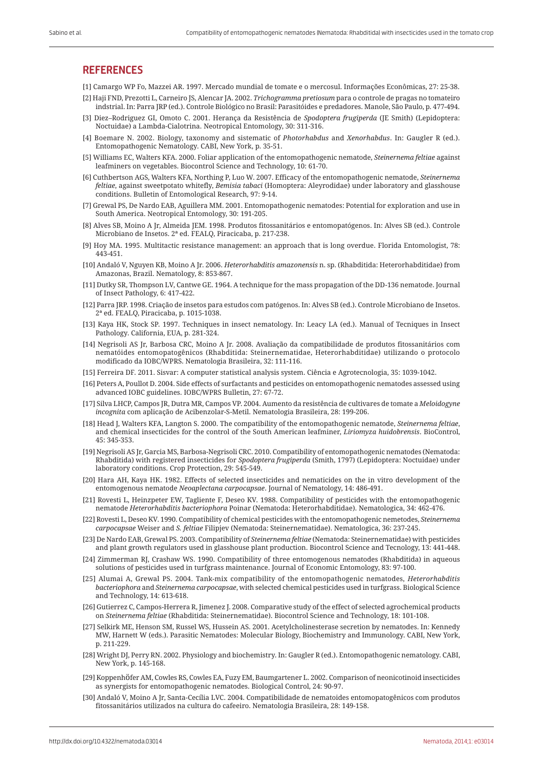## **REFERENCES**

[1] Camargo WP Fo, Mazzei AR. 1997. Mercado mundial de tomate e o mercosul. Informações Econômicas, 27: 25-38.

- [2] Haji FND, Prezotti L, Carneiro JS, Alencar JA. 2002. *Trichogramma pretiosum* para o controle de pragas no tomateiro indstrial. In: Parra JRP (ed.). Controle Biológico no Brasil: Parasitóides e predadores. Manole, São Paulo, p. 477-494.
- [3] Diez–Rodriguez GI, Omoto C. 2001. Herança da Resistência de *Spodoptera frugiperda* (JE Smith) (Lepidoptera: Noctuidae) a Lambda-Cialotrina. Neotropical Entomology, 30: 311-316.
- [4] Boemare N. 2002. Biology, taxonomy and sistematic of *Photorhabdus* and *Xenorhabdus*. In: Gaugler R (ed.). Entomopathogenic Nematology. CABI, New York, p. 35-51.
- [5] Williams EC, Walters KFA. 2000. Foliar application of the entomopathogenic nematode, *Steinernema feltiae* against leafminers on vegetables. Biocontrol Science and Technology, 10: 61-70.
- [6] Cuthbertson AGS, Walters KFA, Northing P, Luo W. 2007. Efficacy of the entomopathogenic nematode, *Steinernema feltiae*, against sweetpotato whitefly, *Bemisia tabaci* (Homoptera: Aleyrodidae) under laboratory and glasshouse conditions. Bulletin of Entomological Research, 97: 9-14.
- [7] Grewal PS, De Nardo EAB, Aguillera MM. 2001. Entomopathogenic nematodes: Potential for exploration and use in South America. Neotropical Entomology, 30: 191-205.
- [8] Alves SB, Moino A Jr, Almeida JEM. 1998. Produtos fitossanitários e entomopatógenos. In: Alves SB (ed.). Controle Microbiano de Insetos. 2ª ed. FEALQ, Piracicaba, p. 217-238.
- [9] Hoy MA. 1995. Multitactic resistance management: an approach that is long overdue. Florida Entomologist, 78: 443-451.
- [10] Andaló V, Nguyen KB, Moino A Jr. 2006. *Heterorhabditis amazonensis* n. sp. (Rhabditida: Heterorhabditidae) from Amazonas, Brazil. Nematology, 8: 853-867.
- [11] Dutky SR, Thompson LV, Cantwe GE. 1964. A technique for the mass propagation of the DD-136 nematode. Journal of Insect Pathology, 6: 417-422.
- [12] Parra JRP. 1998. Criação de insetos para estudos com patógenos. In: Alves SB (ed.). Controle Microbiano de Insetos. 2ª ed. FEALQ, Piracicaba, p. 1015-1038.
- [13] Kaya HK, Stock SP. 1997. Techniques in insect nematology. In: Leacy LA (ed.). Manual of Tecniques in Insect Pathology. California, EUA, p. 281-324.
- [14] Negrisoli AS Jr, Barbosa CRC, Moino A Jr. 2008. Avaliação da compatibilidade de produtos fitossanitários com nematóides entomopatogênicos (Rhabditida: Steinernematidae, Heterorhabditidae) utilizando o protocolo modificado da IOBC/WPRS. Nematologia Brasileira, 32: 111-116.
- [15] Ferreira DF. 2011. Sisvar: A computer statistical analysis system. Ciência e Agrotecnologia, 35: 1039-1042.
- [16] Peters A, Poullot D. 2004. Side effects of surfactants and pesticides on entomopathogenic nematodes assessed using advanced IOBC guidelines. IOBC/WPRS Bulletin, 27: 67-72.
- [17] Silva LHCP, Campos JR, Dutra MR, Campos VP. 2004. Aumento da resistência de cultivares de tomate a *Meloidogyne incognita* com aplicação de Acibenzolar-S-Metil. Nematologia Brasileira, 28: 199-206.
- [18] Head J, Walters KFA, Langton S. 2000. The compatibility of the entomopathogenic nematode, *Steinernema feltiae*, and chemical insecticides for the control of the South American leafminer, *Liriomyza huidobrensis*. BioControl, 45: 345-353.
- [19] Negrisoli AS Jr, Garcia MS, Barbosa-Negrisoli CRC. 2010. Compatibility of entomopathogenic nematodes (Nematoda: Rhabditida) with registered insecticides for *Spodoptera frugiperda* (Smith, 1797) (Lepidoptera: Noctuidae) under laboratory conditions. Crop Protection, 29: 545-549.
- [20] Hara AH, Kaya HK. 1982. Effects of selected insecticides and nematicides on the in vitro development of the entomogenous nematode *Neoaplectana carpocapsae*. Journal of Nematology, 14: 486-491.
- [21] Rovesti L, Heinzpeter EW, Tagliente F, Deseo KV. 1988. Compatibility of pesticides with the entomopathogenic nematode *Heterorhabditis bacteriophora* Poinar (Nematoda: Heterorhabditidae). Nematologica, 34: 462-476.
- [22] Rovesti L, Deseo KV. 1990. Compatibility of chemical pesticides with the entomopathogenic nemetodes, *Steinernema carpocapsae* Weiser and *S. feltiae* Filipjev (Nematoda: Steinernematidae). Nematologica, 36: 237-245.
- [23] De Nardo EAB, Grewal PS. 2003. Compatibility of *Steinernema feltiae* (Nematoda: Steinernematidae) with pesticides and plant growth regulators used in glasshouse plant production. Biocontrol Science and Tecnology, 13: 441-448.
- [24] Zimmerman RJ, Crashaw WS. 1990. Compatibility of three entomogenous nematodes (Rhabditida) in aqueous solutions of pesticides used in turfgrass maintenance. Journal of Economic Entomology, 83: 97-100.
- [25] Alumai A, Grewal PS. 2004. Tank-mix compatibility of the entomopathogenic nematodes, *Heterorhabditis bacteriophora* and *Steinernema carpocapsae*, with selected chemical pesticides used in turfgrass. Biological Science and Technology, 14: 613-618.
- [26] Gutierrez C, Campos-Herrera R, Jimenez J. 2008. Comparative study of the effect of selected agrochemical products on *Steinernema feltiae* (Rhabditida: Steinernematidae). Biocontrol Science and Technology, 18: 101-108.
- [27] Selkirk ME, Henson SM, Russel WS, Hussein AS. 2001. Acetylcholinesterase secretion by nematodes. In: Kennedy MW, Harnett W (eds.). Parasitic Nematodes: Molecular Biology, Biochemistry and Immunology. CABI, New York, p. 211-229.
- [28] Wright DJ, Perry RN. 2002. Physiology and biochemistry. In: Gaugler R (ed.). Entomopathogenic nematology. CABI, New York, p. 145-168.
- [29] Koppenhöfer AM, Cowles RS, Cowles EA, Fuzy EM, Baumgartener L. 2002. Comparison of neonicotinoid insecticides as synergists for entomopathogenic nematodes. Biological Control, 24: 90-97.
- [30] Andaló V, Moino A Jr, Santa-Cecília LVC. 2004. Compatibilidade de nematoides entomopatogênicos com produtos fitossanitários utilizados na cultura do cafeeiro. Nematologia Brasileira, 28: 149-158.